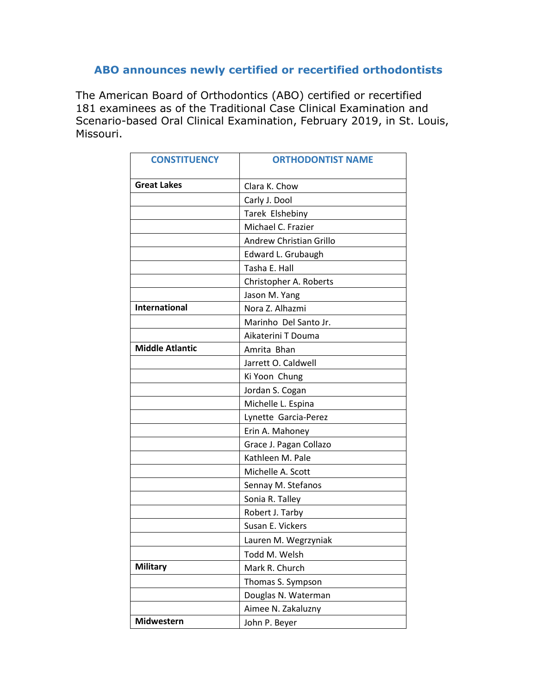## **ABO announces newly certified or recertified orthodontists**

The American Board of Orthodontics (ABO) certified or recertified 181 examinees as of the Traditional Case Clinical Examination and Scenario-based Oral Clinical Examination, February 2019, in St. Louis, Missouri.

| <b>CONSTITUENCY</b>    | <b>ORTHODONTIST NAME</b> |
|------------------------|--------------------------|
| <b>Great Lakes</b>     | Clara K. Chow            |
|                        | Carly J. Dool            |
|                        | Tarek Elshebiny          |
|                        | Michael C. Frazier       |
|                        | Andrew Christian Grillo  |
|                        | Edward L. Grubaugh       |
|                        | Tasha E. Hall            |
|                        | Christopher A. Roberts   |
|                        | Jason M. Yang            |
| <b>International</b>   | Nora Z. Alhazmi          |
|                        | Marinho Del Santo Jr.    |
|                        | Aikaterini T Douma       |
| <b>Middle Atlantic</b> | Amrita Bhan              |
|                        | Jarrett O. Caldwell      |
|                        | Ki Yoon Chung            |
|                        | Jordan S. Cogan          |
|                        | Michelle L. Espina       |
|                        | Lynette Garcia-Perez     |
|                        | Erin A. Mahoney          |
|                        | Grace J. Pagan Collazo   |
|                        | Kathleen M. Pale         |
|                        | Michelle A. Scott        |
|                        | Sennay M. Stefanos       |
|                        | Sonia R. Talley          |
|                        | Robert J. Tarby          |
|                        | Susan E. Vickers         |
|                        | Lauren M. Wegrzyniak     |
|                        | Todd M. Welsh            |
| <b>Military</b>        | Mark R. Church           |
|                        | Thomas S. Sympson        |
|                        | Douglas N. Waterman      |
|                        | Aimee N. Zakaluzny       |
| <b>Midwestern</b>      | John P. Beyer            |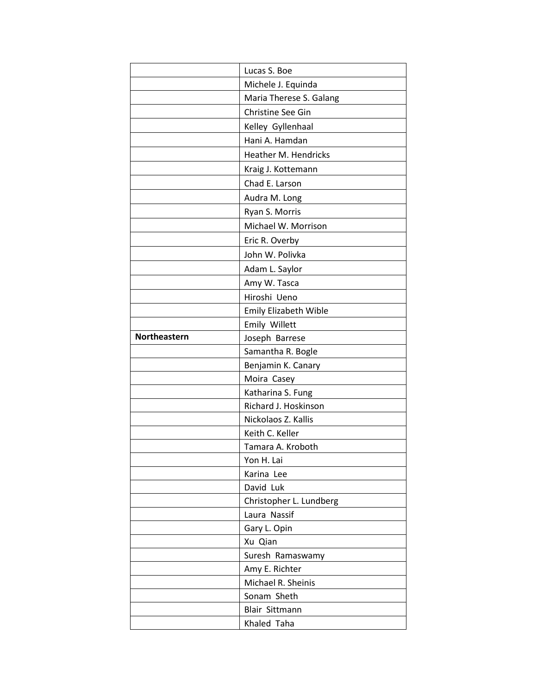|              | Lucas S. Boe                 |
|--------------|------------------------------|
|              | Michele J. Equinda           |
|              | Maria Therese S. Galang      |
|              | Christine See Gin            |
|              | Kelley Gyllenhaal            |
|              | Hani A. Hamdan               |
|              | <b>Heather M. Hendricks</b>  |
|              | Kraig J. Kottemann           |
|              | Chad E. Larson               |
|              | Audra M. Long                |
|              | Ryan S. Morris               |
|              | Michael W. Morrison          |
|              | Eric R. Overby               |
|              | John W. Polivka              |
|              | Adam L. Saylor               |
|              | Amy W. Tasca                 |
|              | Hiroshi Ueno                 |
|              | <b>Emily Elizabeth Wible</b> |
|              | Emily Willett                |
| Northeastern | Joseph Barrese               |
|              | Samantha R. Bogle            |
|              | Benjamin K. Canary           |
|              | Moira Casey                  |
|              | Katharina S. Fung            |
|              | Richard J. Hoskinson         |
|              | Nickolaos Z. Kallis          |
|              | Keith C. Keller              |
|              | Tamara A. Kroboth            |
|              | Yon H. Lai                   |
|              | Karina Lee                   |
|              | David Luk                    |
|              | Christopher L. Lundberg      |
|              | Laura Nassif                 |
|              | Gary L. Opin                 |
|              | Xu Qian                      |
|              | Suresh Ramaswamy             |
|              | Amy E. Richter               |
|              |                              |
|              | Michael R. Sheinis           |
|              | Sonam Sheth                  |
|              | Blair Sittmann               |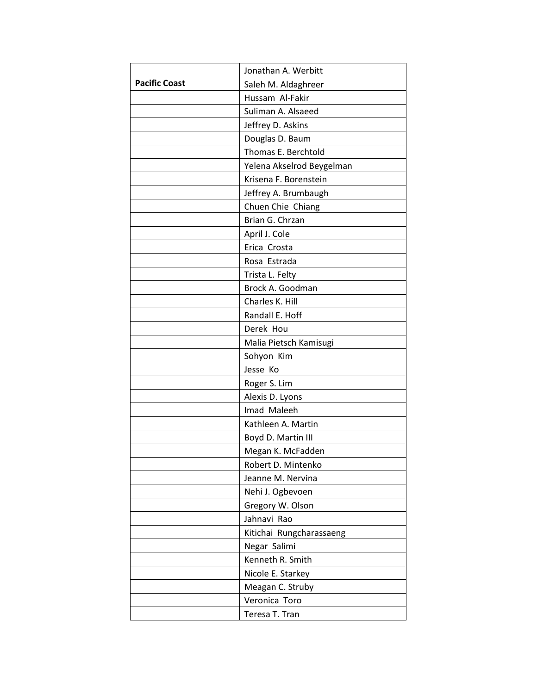|                      | Jonathan A. Werbitt       |
|----------------------|---------------------------|
| <b>Pacific Coast</b> | Saleh M. Aldaghreer       |
|                      | Hussam Al-Fakir           |
|                      | Suliman A. Alsaeed        |
|                      | Jeffrey D. Askins         |
|                      | Douglas D. Baum           |
|                      | Thomas E. Berchtold       |
|                      | Yelena Akselrod Beygelman |
|                      | Krisena F. Borenstein     |
|                      | Jeffrey A. Brumbaugh      |
|                      | Chuen Chie Chiang         |
|                      | Brian G. Chrzan           |
|                      | April J. Cole             |
|                      | Erica Crosta              |
|                      | Rosa Estrada              |
|                      | Trista L. Felty           |
|                      | Brock A. Goodman          |
|                      | Charles K. Hill           |
|                      | Randall E. Hoff           |
|                      | Derek Hou                 |
|                      | Malia Pietsch Kamisugi    |
|                      | Sohyon Kim                |
|                      | Jesse Ko                  |
|                      | Roger S. Lim              |
|                      | Alexis D. Lyons           |
|                      | Imad Maleeh               |
|                      | Kathleen A. Martin        |
|                      | Boyd D. Martin III        |
|                      | Megan K. McFadden         |
|                      | Robert D. Mintenko        |
|                      | Jeanne M. Nervina         |
|                      | Nehi J. Ogbevoen          |
|                      | Gregory W. Olson          |
|                      | Jahnavi Rao               |
|                      | Kitichai Rungcharassaeng  |
|                      | Negar Salimi              |
|                      | Kenneth R. Smith          |
|                      | Nicole E. Starkey         |
|                      | Meagan C. Struby          |
|                      | Veronica Toro             |
|                      | Teresa T. Tran            |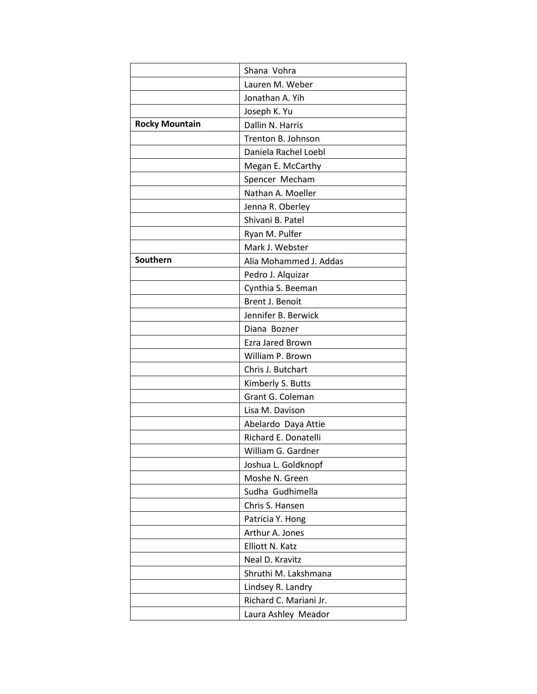|                       | Shana Vohra            |
|-----------------------|------------------------|
|                       | Lauren M. Weber        |
|                       | Jonathan A. Yih        |
|                       | Joseph K. Yu           |
| <b>Rocky Mountain</b> | Dallin N. Harris       |
|                       | Trenton B. Johnson     |
|                       | Daniela Rachel Loebl   |
|                       | Megan E. McCarthy      |
|                       | Spencer Mecham         |
|                       | Nathan A. Moeller      |
|                       | Jenna R. Oberley       |
|                       | Shivani B. Patel       |
|                       | Ryan M. Pulfer         |
|                       | Mark J. Webster        |
| Southern              | Alia Mohammed J. Addas |
|                       | Pedro J. Alquizar      |
|                       | Cynthia S. Beeman      |
|                       | <b>Brent J. Benoit</b> |
|                       | Jennifer B. Berwick    |
|                       | Diana Bozner           |
|                       | Ezra Jared Brown       |
|                       | William P. Brown       |
|                       | Chris J. Butchart      |
|                       | Kimberly S. Butts      |
|                       | Grant G. Coleman       |
|                       | Lisa M. Davison        |
|                       | Abelardo Daya Attie    |
|                       | Richard E. Donatelli   |
|                       | William G. Gardner     |
|                       | Joshua L. Goldknopf    |
|                       | Moshe N. Green         |
|                       | Sudha Gudhimella       |
|                       | Chris S. Hansen        |
|                       | Patricia Y. Hong       |
|                       | Arthur A. Jones        |
|                       | Elliott N. Katz        |
|                       | Neal D. Kravitz        |
|                       | Shruthi M. Lakshmana   |
|                       | Lindsey R. Landry      |
|                       | Richard C. Mariani Jr. |
|                       | Laura Ashley Meador    |